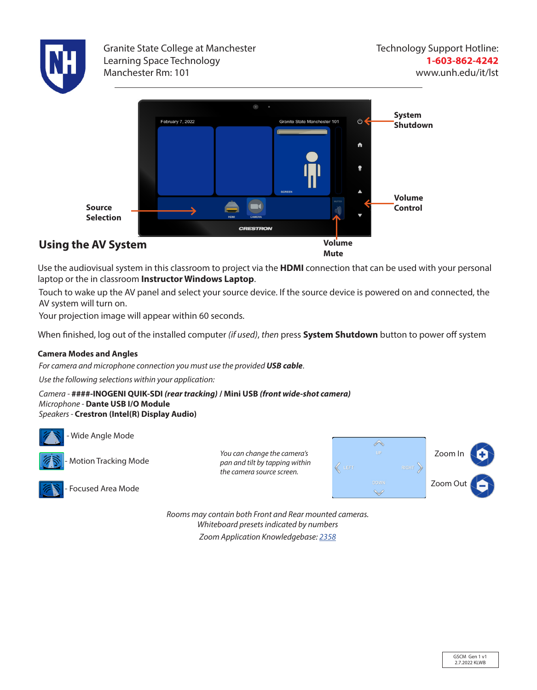

Granite State College at Manchester Learning Space Technology Manchester Rm: 101



Use the audiovisual system in this classroom to project via the **HDMI** connection that can be used with your personal laptop or the in classroom **Instructor Windows Laptop**.

Touch to wake up the AV panel and select your source device. If the source device is powered on and connected, the AV system will turn on.

Your projection image will appear within 60 seconds.

When finished, log out of the installed computer *(if used)*, *then* press **System Shutdown** button to power off system

#### **Camera Modes and Angles**

*For camera and microphone connection you must use the provided USB cable*.

*Use the following selections within your application:*

*Camera -* **####-INOGENI QUIK-SDI** *(rear tracking)* **/ Mini USB** *(front wide-shot camera) Microphone -* **Dante USB I/O Module** *Speakers -* **Crestron (Intel(R) Display Audio)**



Wide Angle Mode



Motion Tracking Mode

Focused Area Mode

*You can change the camera's pan and tilt by tapping within the camera source screen.*



*Rooms may contain both Front and Rear mounted cameras. Whiteboard presets indicated by numbers Zoom Application Knowledgebase: 2358*